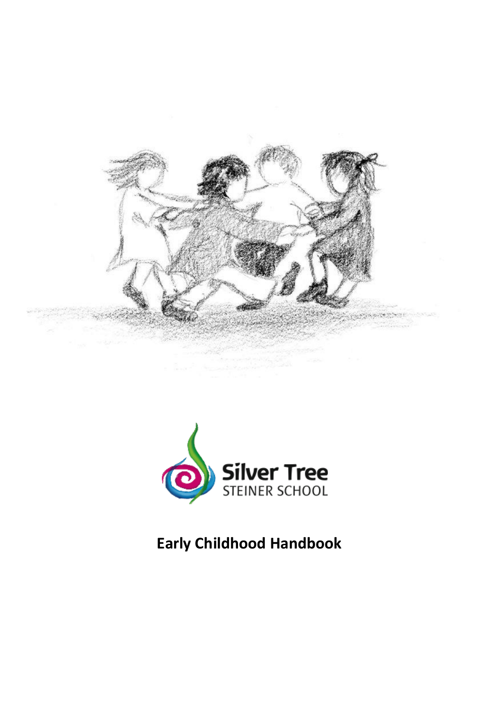



# **Early Childhood Handbook**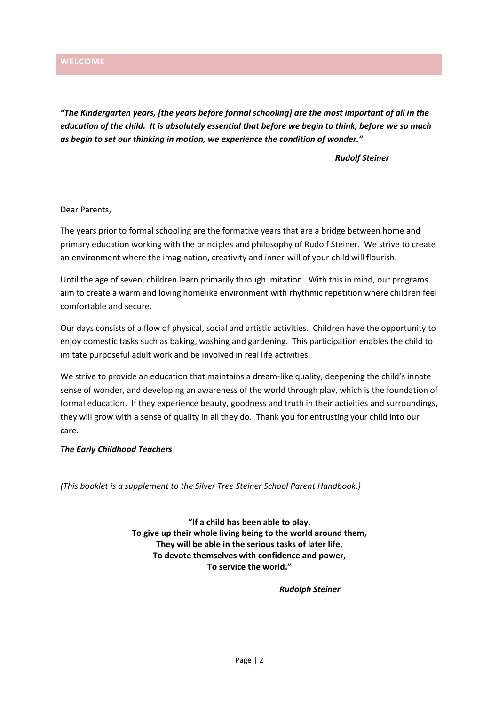<span id="page-1-0"></span>*"The Kindergarten years, [the years before formal schooling] are the most important of all in the education of the child. It is absolutely essential that before we begin to think, before we so much as begin to set our thinking in motion, we experience the condition of wonder."*

*Rudolf Steiner*

Dear Parents,

The years prior to formal schooling are the formative years that are a bridge between home and primary education working with the principles and philosophy of Rudolf Steiner. We strive to create an environment where the imagination, creativity and inner-will of your child will flourish.

Until the age of seven, children learn primarily through imitation. With this in mind, our programs aim to create a warm and loving homelike environment with rhythmic repetition where children feel comfortable and secure.

Our days consists of a flow of physical, social and artistic activities. Children have the opportunity to enjoy domestic tasks such as baking, washing and gardening. This participation enables the child to imitate purposeful adult work and be involved in real life activities.

We strive to provide an education that maintains a dream-like quality, deepening the child's innate sense of wonder, and developing an awareness of the world through play, which is the foundation of formal education. If they experience beauty, goodness and truth in their activities and surroundings, they will grow with a sense of quality in all they do. Thank you for entrusting your child into our care.

# *The Early Childhood Teachers*

*(This booklet is a supplement to the Silver Tree Steiner School Parent Handbook.)*

**"If a child has been able to play, To give up their whole living being to the world around them, They will be able in the serious tasks of later life, To devote themselves with confidence and power, To service the world."**

*Rudolph Steiner*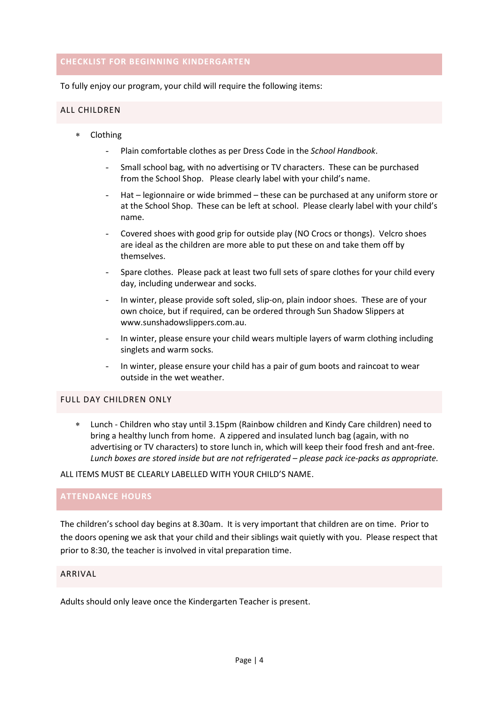# <span id="page-3-0"></span>**CHECKLIST FOR BEGINNING KINDERGARTEN**

To fully enjoy our program, your child will require the following items:

#### <span id="page-3-1"></span>ALL CHILDREN

- Clothing
	- Plain comfortable clothes as per Dress Code in the *School Handbook*.
	- Small school bag, with no advertising or TV characters. These can be purchased from the School Shop. Please clearly label with your child's name.
	- Hat legionnaire or wide brimmed these can be purchased at any uniform store or at the School Shop. These can be left at school. Please clearly label with your child's name.
	- Covered shoes with good grip for outside play (NO Crocs or thongs). Velcro shoes are ideal as the children are more able to put these on and take them off by themselves.
	- Spare clothes. Please pack at least two full sets of spare clothes for your child every day, including underwear and socks.
	- In winter, please provide soft soled, slip-on, plain indoor shoes. These are of your own choice, but if required, can be ordered through Sun Shadow Slippers at [www.sunshadowslippers.com.au.](http://www.sunshadowslippers.com.au/)
	- In winter, please ensure your child wears multiple layers of warm clothing including singlets and warm socks.
	- In winter, please ensure your child has a pair of gum boots and raincoat to wear outside in the wet weather.

# <span id="page-3-2"></span>FULL DAY CHILDREN ONLY

 Lunch - Children who stay until 3.15pm (Rainbow children and Kindy Care children) need to bring a healthy lunch from home. A zippered and insulated lunch bag (again, with no advertising or TV characters) to store lunch in, which will keep their food fresh and ant-free. *Lunch boxes are stored inside but are not refrigerated – please pack ice-packs as appropriate.*

ALL ITEMS MUST BE CLEARLY LABELLED WITH YOUR CHILD'S NAME.

# <span id="page-3-3"></span>**ATTENDANCE HOURS**

The children's school day begins at 8.30am. It is very important that children are on time. Prior to the doors opening we ask that your child and their siblings wait quietly with you. Please respect that prior to 8:30, the teacher is involved in vital preparation time.

# <span id="page-3-4"></span>ARRIVAL

Adults should only leave once the Kindergarten Teacher is present.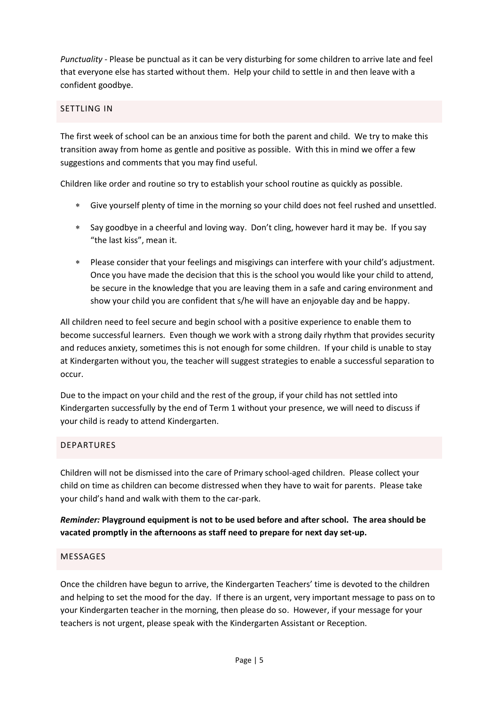*Punctuality* - Please be punctual as it can be very disturbing for some children to arrive late and feel that everyone else has started without them. Help your child to settle in and then leave with a confident goodbye.

# <span id="page-4-0"></span>SETTLING IN

The first week of school can be an anxious time for both the parent and child. We try to make this transition away from home as gentle and positive as possible. With this in mind we offer a few suggestions and comments that you may find useful.

Children like order and routine so try to establish your school routine as quickly as possible.

- Give yourself plenty of time in the morning so your child does not feel rushed and unsettled.
- Say goodbye in a cheerful and loving way. Don't cling, however hard it may be. If you say "the last kiss", mean it.
- Please consider that your feelings and misgivings can interfere with your child's adjustment. Once you have made the decision that this is the school you would like your child to attend, be secure in the knowledge that you are leaving them in a safe and caring environment and show your child you are confident that s/he will have an enjoyable day and be happy.

All children need to feel secure and begin school with a positive experience to enable them to become successful learners. Even though we work with a strong daily rhythm that provides security and reduces anxiety, sometimes this is not enough for some children. If your child is unable to stay at Kindergarten without you, the teacher will suggest strategies to enable a successful separation to occur.

Due to the impact on your child and the rest of the group, if your child has not settled into Kindergarten successfully by the end of Term 1 without your presence, we will need to discuss if your child is ready to attend Kindergarten.

# <span id="page-4-1"></span>DEPARTURES

Children will not be dismissed into the care of Primary school-aged children. Please collect your child on time as children can become distressed when they have to wait for parents. Please take your child's hand and walk with them to the car-park.

*Reminder:* **Playground equipment is not to be used before and after school. The area should be vacated promptly in the afternoons as staff need to prepare for next day set-up.**

# <span id="page-4-2"></span>MESSAGES

Once the children have begun to arrive, the Kindergarten Teachers' time is devoted to the children and helping to set the mood for the day. If there is an urgent, very important message to pass on to your Kindergarten teacher in the morning, then please do so. However, if your message for your teachers is not urgent, please speak with the Kindergarten Assistant or Reception.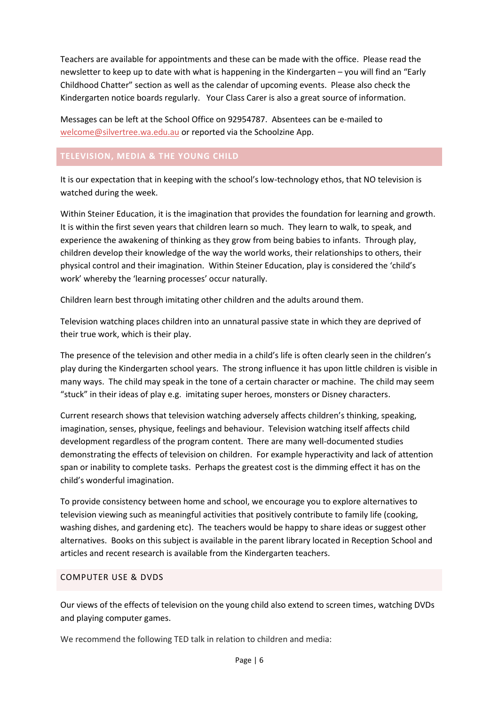Teachers are available for appointments and these can be made with the office. Please read the newsletter to keep up to date with what is happening in the Kindergarten – you will find an "Early Childhood Chatter" section as well as the calendar of upcoming events. Please also check the Kindergarten notice boards regularly. Your Class Carer is also a great source of information.

Messages can be left at the School Office on 92954787. Absentees can be e-mailed to [welcome@silvertree.wa.edu.au](mailto:welcome@silvertree.wa.edu.au) or reported via the Schoolzine App.

# <span id="page-5-0"></span>**TELEVISION, MEDIA & THE YOUNG CHILD**

It is our expectation that in keeping with the school's low-technology ethos, that NO television is watched during the week.

Within Steiner Education, it is the imagination that provides the foundation for learning and growth. It is within the first seven years that children learn so much. They learn to walk, to speak, and experience the awakening of thinking as they grow from being babies to infants. Through play, children develop their knowledge of the way the world works, their relationships to others, their physical control and their imagination. Within Steiner Education, play is considered the 'child's work' whereby the 'learning processes' occur naturally.

Children learn best through imitating other children and the adults around them.

Television watching places children into an unnatural passive state in which they are deprived of their true work, which is their play.

The presence of the television and other media in a child's life is often clearly seen in the children's play during the Kindergarten school years. The strong influence it has upon little children is visible in many ways. The child may speak in the tone of a certain character or machine. The child may seem "stuck" in their ideas of play e.g. imitating super heroes, monsters or Disney characters.

Current research shows that television watching adversely affects children's thinking, speaking, imagination, senses, physique, feelings and behaviour. Television watching itself affects child development regardless of the program content. There are many well-documented studies demonstrating the effects of television on children. For example hyperactivity and lack of attention span or inability to complete tasks. Perhaps the greatest cost is the dimming effect it has on the child's wonderful imagination.

To provide consistency between home and school, we encourage you to explore alternatives to television viewing such as meaningful activities that positively contribute to family life (cooking, washing dishes, and gardening etc). The teachers would be happy to share ideas or suggest other alternatives. Books on this subject is available in the parent library located in Reception School and articles and recent research is available from the Kindergarten teachers.

# <span id="page-5-1"></span>COMPUTER USE & DVDS

Our views of the effects of television on the young child also extend to screen times, watching DVDs and playing computer games.

We recommend the following TED talk in relation to children and media: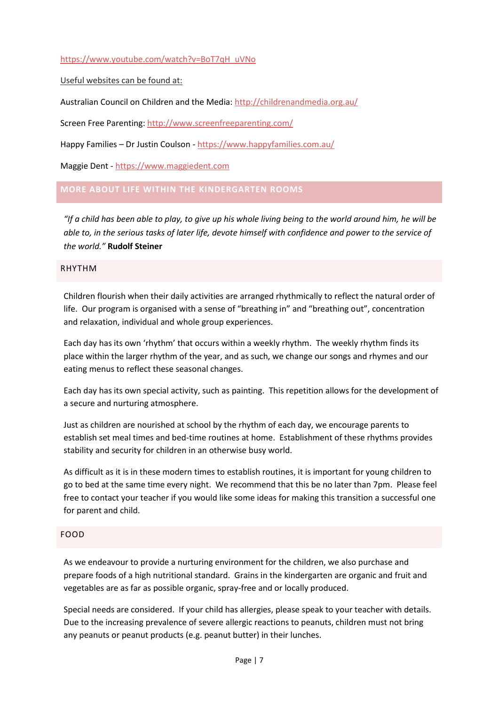# [https://www.youtube.com/watch?v=BoT7qH\\_uVNo](https://www.youtube.com/watch?v=BoT7qH_uVNo)

Useful websites can be found at:

Australian Council on Children and the Media:<http://childrenandmedia.org.au/>

Screen Free Parenting[: http://www.screenfreeparenting.com/](http://www.screenfreeparenting.com/)

Happy Families – Dr Justin Coulson - <https://www.happyfamilies.com.au/>

Maggie Dent - [https://www.maggiedent.com](https://www.maggiedent.com/)

# <span id="page-6-0"></span>**MORE ABOUT LIFE WITHIN THE KINDERGARTEN ROOMS**

*"If a child has been able to play, to give up his whole living being to the world around him, he will be able to, in the serious tasks of later life, devote himself with confidence and power to the service of the world."* **Rudolf Steiner**

# <span id="page-6-1"></span>RHYTHM

Children flourish when their daily activities are arranged rhythmically to reflect the natural order of life. Our program is organised with a sense of "breathing in" and "breathing out", concentration and relaxation, individual and whole group experiences.

Each day has its own 'rhythm' that occurs within a weekly rhythm. The weekly rhythm finds its place within the larger rhythm of the year, and as such, we change our songs and rhymes and our eating menus to reflect these seasonal changes.

Each day has its own special activity, such as painting. This repetition allows for the development of a secure and nurturing atmosphere.

Just as children are nourished at school by the rhythm of each day, we encourage parents to establish set meal times and bed-time routines at home. Establishment of these rhythms provides stability and security for children in an otherwise busy world.

As difficult as it is in these modern times to establish routines, it is important for young children to go to bed at the same time every night. We recommend that this be no later than 7pm. Please feel free to contact your teacher if you would like some ideas for making this transition a successful one for parent and child.

# <span id="page-6-2"></span>FOOD

As we endeavour to provide a nurturing environment for the children, we also purchase and prepare foods of a high nutritional standard. Grains in the kindergarten are organic and fruit and vegetables are as far as possible organic, spray-free and or locally produced.

Special needs are considered. If your child has allergies, please speak to your teacher with details. Due to the increasing prevalence of severe allergic reactions to peanuts, children must not bring any peanuts or peanut products (e.g. peanut butter) in their lunches.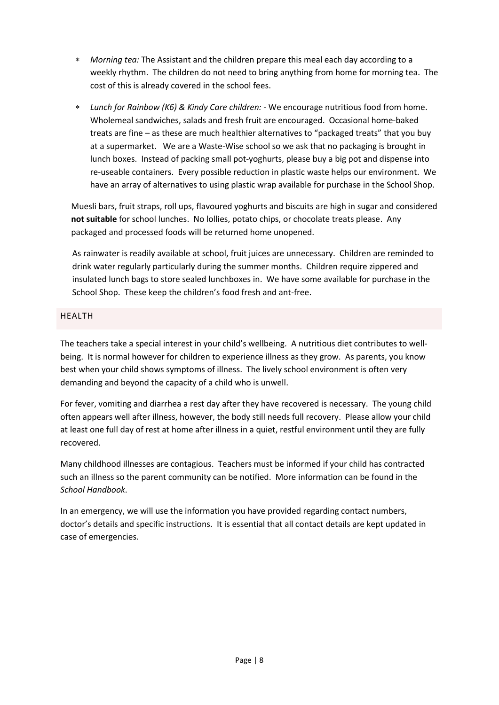- *Morning tea:* The Assistant and the children prepare this meal each day according to a weekly rhythm. The children do not need to bring anything from home for morning tea. The cost of this is already covered in the school fees.
- *Lunch for Rainbow (K6) & Kindy Care children:* We encourage nutritious food from home. Wholemeal sandwiches, salads and fresh fruit are encouraged. Occasional home-baked treats are fine – as these are much healthier alternatives to "packaged treats" that you buy at a supermarket. We are a Waste-Wise school so we ask that no packaging is brought in lunch boxes. Instead of packing small pot-yoghurts, please buy a big pot and dispense into re-useable containers. Every possible reduction in plastic waste helps our environment. We have an array of alternatives to using plastic wrap available for purchase in the School Shop.

Muesli bars, fruit straps, roll ups, flavoured yoghurts and biscuits are high in sugar and considered **not suitable** for school lunches. No lollies, potato chips, or chocolate treats please. Any packaged and processed foods will be returned home unopened.

As rainwater is readily available at school, fruit juices are unnecessary. Children are reminded to drink water regularly particularly during the summer months. Children require zippered and insulated lunch bags to store sealed lunchboxes in. We have some available for purchase in the School Shop. These keep the children's food fresh and ant-free.

# <span id="page-7-0"></span>HEALTH

The teachers take a special interest in your child's wellbeing. A nutritious diet contributes to wellbeing. It is normal however for children to experience illness as they grow. As parents, you know best when your child shows symptoms of illness. The lively school environment is often very demanding and beyond the capacity of a child who is unwell.

For fever, vomiting and diarrhea a rest day after they have recovered is necessary. The young child often appears well after illness, however, the body still needs full recovery. Please allow your child at least one full day of rest at home after illness in a quiet, restful environment until they are fully recovered.

Many childhood illnesses are contagious. Teachers must be informed if your child has contracted such an illness so the parent community can be notified. More information can be found in the *School Handbook*.

In an emergency, we will use the information you have provided regarding contact numbers, doctor's details and specific instructions. It is essential that all contact details are kept updated in case of emergencies.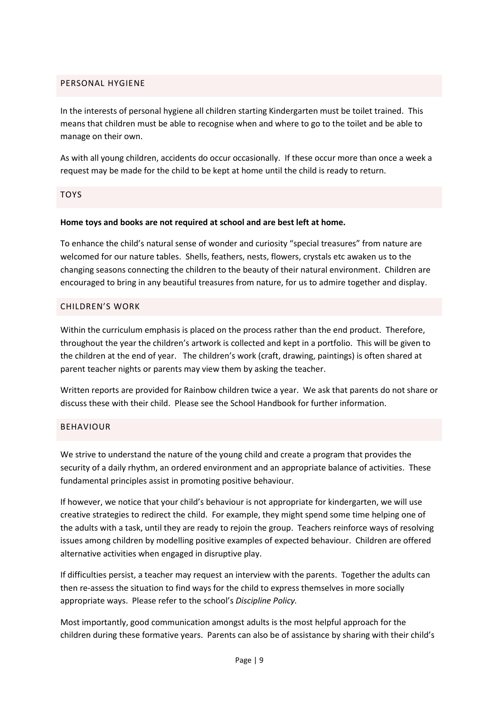# <span id="page-8-0"></span>PERSONAL HYGIENE

In the interests of personal hygiene all children starting Kindergarten must be toilet trained. This means that children must be able to recognise when and where to go to the toilet and be able to manage on their own.

As with all young children, accidents do occur occasionally. If these occur more than once a week a request may be made for the child to be kept at home until the child is ready to return.

# <span id="page-8-1"></span>TOYS

# **Home toys and books are not required at school and are best left at home.**

To enhance the child's natural sense of wonder and curiosity "special treasures" from nature are welcomed for our nature tables. Shells, feathers, nests, flowers, crystals etc awaken us to the changing seasons connecting the children to the beauty of their natural environment. Children are encouraged to bring in any beautiful treasures from nature, for us to admire together and display.

# <span id="page-8-2"></span>CHILDREN'S WORK

Within the curriculum emphasis is placed on the process rather than the end product. Therefore, throughout the year the children's artwork is collected and kept in a portfolio. This will be given to the children at the end of year. The children's work (craft, drawing, paintings) is often shared at parent teacher nights or parents may view them by asking the teacher.

Written reports are provided for Rainbow children twice a year. We ask that parents do not share or discuss these with their child. Please see the School Handbook for further information.

# <span id="page-8-3"></span>BEHAVIOUR

We strive to understand the nature of the young child and create a program that provides the security of a daily rhythm, an ordered environment and an appropriate balance of activities. These fundamental principles assist in promoting positive behaviour.

If however, we notice that your child's behaviour is not appropriate for kindergarten, we will use creative strategies to redirect the child. For example, they might spend some time helping one of the adults with a task, until they are ready to rejoin the group. Teachers reinforce ways of resolving issues among children by modelling positive examples of expected behaviour. Children are offered alternative activities when engaged in disruptive play.

If difficulties persist, a teacher may request an interview with the parents. Together the adults can then re-assess the situation to find ways for the child to express themselves in more socially appropriate ways. Please refer to the school's *Discipline Policy.*

Most importantly, good communication amongst adults is the most helpful approach for the children during these formative years. Parents can also be of assistance by sharing with their child's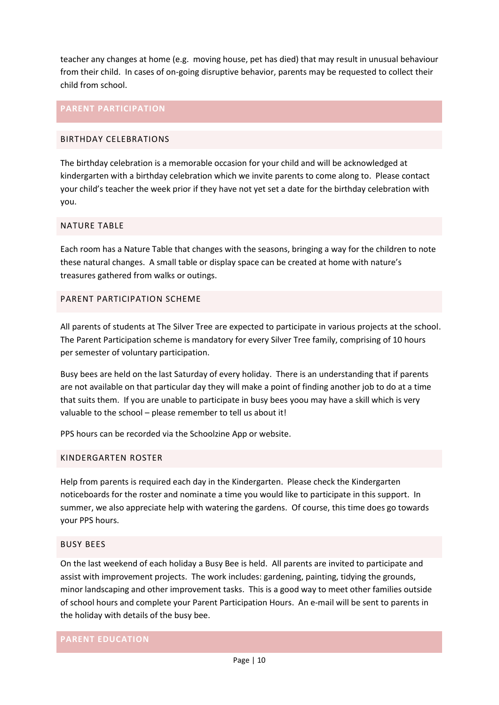teacher any changes at home (e.g. moving house, pet has died) that may result in unusual behaviour from their child. In cases of on-going disruptive behavior, parents may be requested to collect their child from school.

# <span id="page-9-0"></span>**PARENT PARTICIPATION**

#### <span id="page-9-1"></span>BIRTHDAY CELEBRATIONS

The birthday celebration is a memorable occasion for your child and will be acknowledged at kindergarten with a birthday celebration which we invite parents to come along to. Please contact your child's teacher the week prior if they have not yet set a date for the birthday celebration with you.

#### <span id="page-9-2"></span>NATURE TABLE

Each room has a Nature Table that changes with the seasons, bringing a way for the children to note these natural changes. A small table or display space can be created at home with nature's treasures gathered from walks or outings.

# <span id="page-9-3"></span>PARENT PARTICIPATION SCHEME

All parents of students at The Silver Tree are expected to participate in various projects at the school. The Parent Participation scheme is mandatory for every Silver Tree family, comprising of 10 hours per semester of voluntary participation.

Busy bees are held on the last Saturday of every holiday. There is an understanding that if parents are not available on that particular day they will make a point of finding another job to do at a time that suits them. If you are unable to participate in busy bees yoou may have a skill which is very valuable to the school – please remember to tell us about it!

PPS hours can be recorded via the Schoolzine App or website.

# <span id="page-9-4"></span>KINDERGARTEN ROSTER

Help from parents is required each day in the Kindergarten. Please check the Kindergarten noticeboards for the roster and nominate a time you would like to participate in this support. In summer, we also appreciate help with watering the gardens. Of course, this time does go towards your PPS hours.

#### <span id="page-9-5"></span>BUSY BEES

On the last weekend of each holiday a Busy Bee is held. All parents are invited to participate and assist with improvement projects. The work includes: gardening, painting, tidying the grounds, minor landscaping and other improvement tasks. This is a good way to meet other families outside of school hours and complete your Parent Participation Hours. An e-mail will be sent to parents in the holiday with details of the busy bee.

# <span id="page-9-6"></span>**PARENT EDUCATION**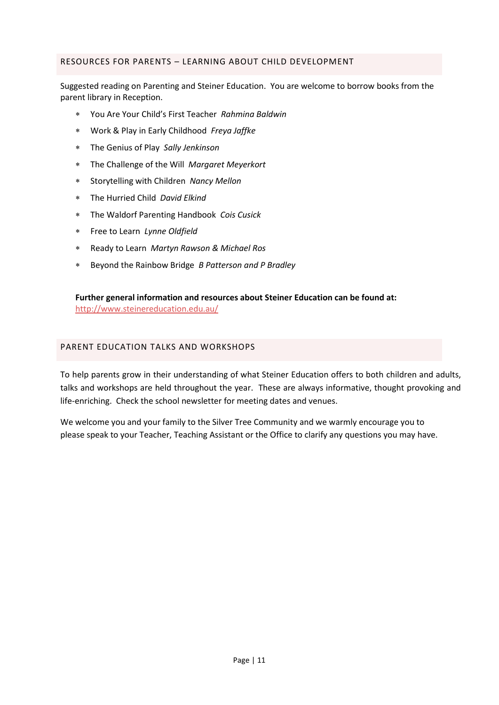# <span id="page-10-0"></span>RESOURCES FOR PARENTS – LEARNING ABOUT CHILD DEVELOPMENT

Suggested reading on Parenting and Steiner Education. You are welcome to borrow books from the parent library in Reception.

- You Are Your Child's First Teacher *Rahmina Baldwin*
- Work & Play in Early Childhood *Freya Jaffke*
- The Genius of Play *Sally Jenkinson*
- The Challenge of the Will *Margaret Meyerkort*
- Storytelling with Children *Nancy Mellon*
- The Hurried Child *David Elkind*
- The Waldorf Parenting Handbook *Cois Cusick*
- Free to Learn *Lynne Oldfield*
- Ready to Learn *Martyn Rawson & Michael Ros*
- Beyond the Rainbow Bridge *B Patterson and P Bradley*

**Further general information and resources about Steiner Education can be found at:**  <http://www.steinereducation.edu.au/>

# <span id="page-10-1"></span>PARENT EDUCATION TALKS AND WORKSHOPS

To help parents grow in their understanding of what Steiner Education offers to both children and adults, talks and workshops are held throughout the year. These are always informative, thought provoking and life-enriching. Check the school newsletter for meeting dates and venues.

We welcome you and your family to the Silver Tree Community and we warmly encourage you to please speak to your Teacher, Teaching Assistant or the Office to clarify any questions you may have.